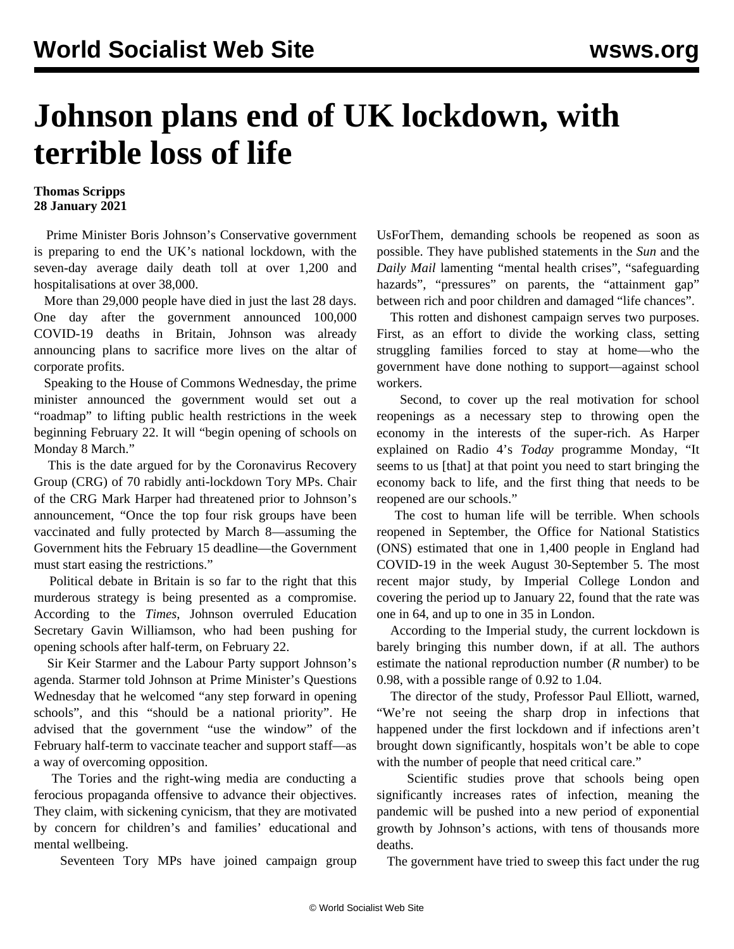## **Johnson plans end of UK lockdown, with terrible loss of life**

## **Thomas Scripps 28 January 2021**

 Prime Minister Boris Johnson's Conservative government is preparing to end the UK's national lockdown, with the seven-day average daily death toll at over 1,200 and hospitalisations at over 38,000.

 More than 29,000 people have died in just the last 28 days. One day after the government announced [100,000](/en/articles/2021/01/27/couk-j27.html) [COVID-19 deaths](/en/articles/2021/01/27/couk-j27.html) in Britain, Johnson was already announcing plans to sacrifice more lives on the altar of corporate profits.

 Speaking to the House of Commons Wednesday, the prime minister announced the government would set out a "roadmap" to lifting public health restrictions in the week beginning February 22. It will "begin opening of schools on Monday 8 March."

 This is the date argued for by the Coronavirus Recovery Group (CRG) of 70 rabidly anti-lockdown Tory MPs. Chair of the CRG Mark Harper had threatened prior to Johnson's announcement, "Once the top four risk groups have been vaccinated and fully protected by March 8—assuming the Government hits the February 15 deadline—the Government must start easing the restrictions."

 Political debate in Britain is so far to the right that this murderous strategy is being presented as a compromise. According to the *Times*, Johnson overruled Education Secretary Gavin Williamson, who had been pushing for opening schools after half-term, on February 22.

 Sir Keir Starmer and the Labour Party support Johnson's agenda. Starmer told Johnson at Prime Minister's Questions Wednesday that he welcomed "any step forward in opening schools", and this "should be a national priority". He advised that the government "use the window" of the February half-term to vaccinate teacher and support staff—as a way of overcoming opposition.

 The Tories and the right-wing media are conducting a ferocious propaganda offensive to advance their objectives. They claim, with sickening cynicism, that they are motivated by concern for children's and families' educational and mental wellbeing.

Seventeen Tory MPs have joined campaign group

UsForThem, demanding schools be reopened as soon as possible. They have published statements in the *Sun* and the *Daily Mail* lamenting "mental health crises", "safeguarding hazards", "pressures" on parents, the "attainment gap" between rich and poor children and damaged "life chances".

 This rotten and dishonest campaign serves two purposes. First, as an effort to divide the working class, setting struggling families forced to stay at home—who the government have done nothing to support—against school workers.

 Second, to cover up the real motivation for school reopenings as a necessary step to throwing open the economy in the interests of the super-rich. As Harper explained on Radio 4's *Today* programme Monday, "It seems to us [that] at that point you need to start bringing the economy back to life, and the first thing that needs to be reopened are our schools."

 The cost to human life will be terrible. When schools reopened in September, the Office for National Statistics (ONS) estimated that one in 1,400 people in England had COVID-19 in the week August 30-September 5. The most recent major study, by Imperial College London and covering the period up to January 22, found that the rate was one in 64, and up to one in 35 in London.

 According to the Imperial study, the current lockdown is barely bringing this number down, if at all. The authors estimate the national reproduction number (*R* number) to be 0.98, with a possible range of 0.92 to 1.04.

 The director of the study, Professor Paul Elliott, warned, "We're not seeing the sharp drop in infections that happened under the first lockdown and if infections aren't brought down significantly, hospitals won't be able to cope with the number of people that need critical care."

 Scientific studies prove that schools being open significantly increases rates of infection, meaning the pandemic will be pushed into a new period of exponential growth by Johnson's actions, with tens of thousands more deaths.

The government have tried to sweep this fact under the rug